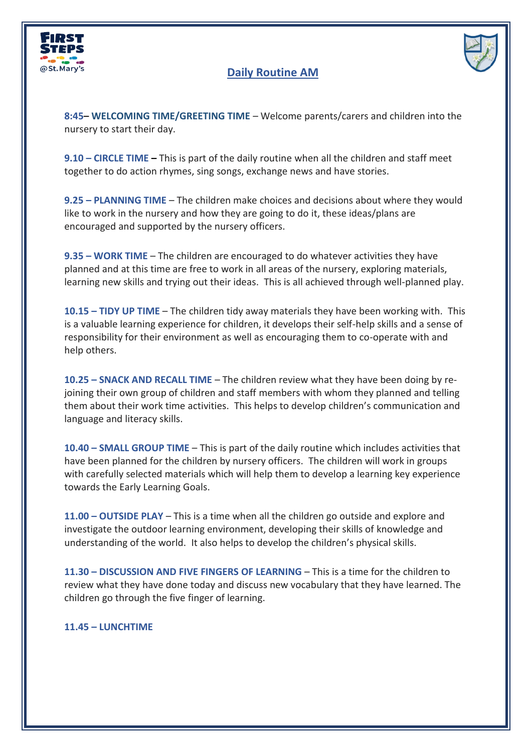

## **Daily Routine AM**



**8:45– WELCOMING TIME/GREETING TIME** – Welcome parents/carers and children into the nursery to start their day.

**9.10 – CIRCLE TIME –** This is part of the daily routine when all the children and staff meet together to do action rhymes, sing songs, exchange news and have stories.

**9.25 – PLANNING TIME** – The children make choices and decisions about where they would like to work in the nursery and how they are going to do it, these ideas/plans are encouraged and supported by the nursery officers.

**9.35 – WORK TIME** – The children are encouraged to do whatever activities they have planned and at this time are free to work in all areas of the nursery, exploring materials, learning new skills and trying out their ideas. This is all achieved through well-planned play.

**10.15 – TIDY UP TIME** – The children tidy away materials they have been working with. This is a valuable learning experience for children, it develops their self-help skills and a sense of responsibility for their environment as well as encouraging them to co-operate with and help others.

**10.25 – SNACK AND RECALL TIME** – The children review what they have been doing by rejoining their own group of children and staff members with whom they planned and telling them about their work time activities. This helps to develop children's communication and language and literacy skills.

**10.40 – SMALL GROUP TIME** – This is part of the daily routine which includes activities that have been planned for the children by nursery officers. The children will work in groups with carefully selected materials which will help them to develop a learning key experience towards the Early Learning Goals.

**11.00 – OUTSIDE PLAY** – This is a time when all the children go outside and explore and investigate the outdoor learning environment, developing their skills of knowledge and understanding of the world. It also helps to develop the children's physical skills.

**11.30 – DISCUSSION AND FIVE FINGERS OF LEARNING** – This is a time for the children to review what they have done today and discuss new vocabulary that they have learned. The children go through the five finger of learning.

## **11.45 – LUNCHTIME**